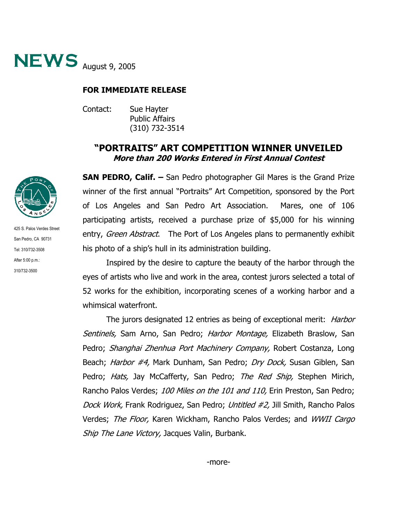

## **FOR IMMEDIATE RELEASE**

Contact: Sue Hayter Public Affairs (310) 732-3514

## **"PORTRAITS" ART COMPETITION WINNER UNVEILED More than 200 Works Entered in First Annual Contest**

**SAN PEDRO, Calif. –** San Pedro photographer Gil Mares is the Grand Prize winner of the first annual "Portraits" Art Competition, sponsored by the Port of Los Angeles and San Pedro Art Association. Mares, one of 106 participating artists, received a purchase prize of \$5,000 for his winning entry, Green Abstract. The Port of Los Angeles plans to permanently exhibit his photo of a ship's hull in its administration building.

Inspired by the desire to capture the beauty of the harbor through the eyes of artists who live and work in the area, contest jurors selected a total of 52 works for the exhibition, incorporating scenes of a working harbor and a whimsical waterfront.

The jurors designated 12 entries as being of exceptional merit: *Harbor* Sentinels, Sam Arno, San Pedro; Harbor Montage, Elizabeth Braslow, San Pedro; Shanghai Zhenhua Port Machinery Company, Robert Costanza, Long Beach; Harbor #4, Mark Dunham, San Pedro; Dry Dock, Susan Giblen, San Pedro; Hats, Jay McCafferty, San Pedro; The Red Ship, Stephen Mirich, Rancho Palos Verdes; 100 Miles on the 101 and 110, Erin Preston, San Pedro; Dock Work, Frank Rodriguez, San Pedro; Untitled #2, Jill Smith, Rancho Palos Verdes; The Floor, Karen Wickham, Rancho Palos Verdes; and WWII Cargo Ship The Lane Victory, Jacques Valin, Burbank.



425 S. Palos Verdes Street San Pedro, CA 90731 Tel: 310/732-3508 After 5:00 p.m.: 310/732-3500